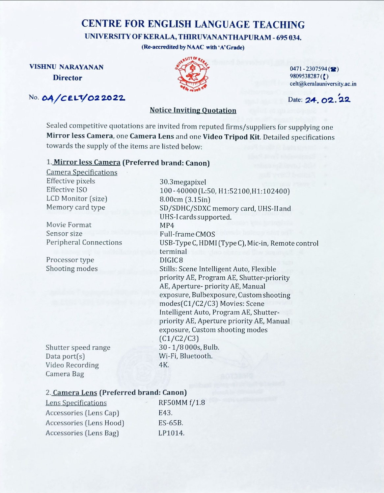# CENTRE FOR ENGLISH LANGUAGE TEACHING

## UNIVERSITY OF KERALA, THIRUVANANTHAPURAM - 695

(Re-accredited by NAAC with 'A' Grade)

## No. 04/CELT/02 20 22



VISHNU NARAYANAN 0471 - 2307594  $\mathbf{Director}$  9809538287(() celt@keralauniversity.ac.in

#### Notice Inviting Quotation

Sealed competitive quotations are invited from reputed firms/suppliers for supplying Mirror less Camera, one Camera Lens and one Video Tripod Kit. Detailed specifications towards the supply of the items are listed below:

## 1. Mirror less Camera (Preferred brand:

Camera Specifications Effective pixels 30.3 megapixel Effective ISO 100 - 40000 (L:50, H1:52100,H1:102400) LCD Monitor (size) 8.00cm (3.15in)

Movie Format MP4<br>Sensor size Full-

Processor type DIGIC 8

Camera Bag

Memory card type SD/SDHC/SDXC memory card, UHS-II and UHS-I cards supported. Full-frame CMOS Peripheral Connections USB-Type C, HDMI (Type C), Mic-in, Remote control terminal Shooting modes Stills: Scene Intelligent Auto, Flexible priority AE, Program AE, Shutter-priority AE, Aperture- priority AE, Manual exposure, Bulbexposure, Custom shooting modes(C1/C2/C3) Movies: Scene Intelligent Auto, Program AE, Shutterpriority AE, Aperture priority AE, Manual exposure, Custom shooting modes (C1/C2/C3) Shutter speed range 30 - 1/8000s, Bulb. Data port(s) Wi-Fi, Bluetooth. Video Recording 4K.

## 2. Camera Lens (Preferred brand: Canon)

| Lens Specifications     | RF50MM f/1.8 |
|-------------------------|--------------|
| Accessories (Lens Cap)  | E43.         |
| Accessories (Lens Hood) | ES-65B.      |
| Accessories (Lens Bag)  | LP1014.      |